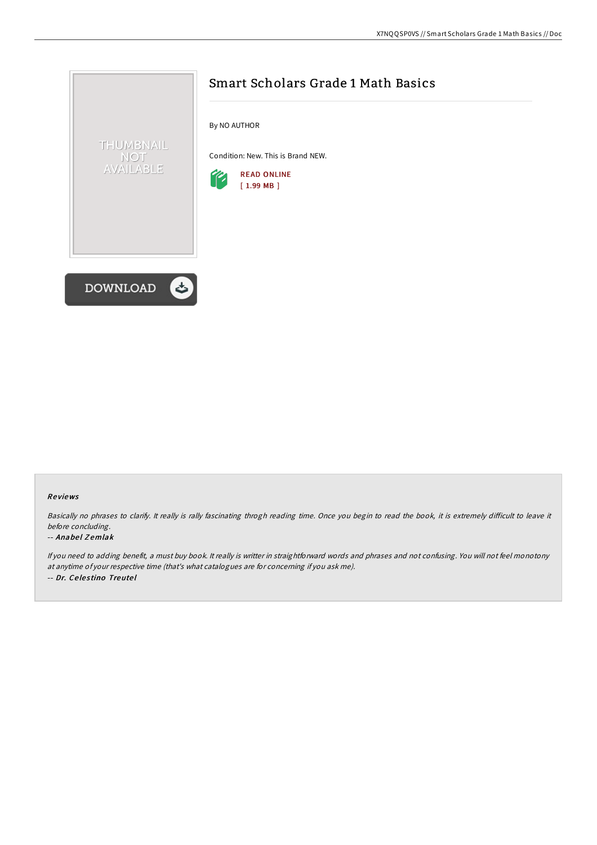

## Re views

Basically no phrases to clarify. It really is rally fascinating throgh reading time. Once you begin to read the book, it is extremely difficult to leave it before concluding.

#### -- Anabel Zemlak

If you need to adding benefit, <sup>a</sup> must buy book. It really is writter in straightforward words and phrases and not confusing. You will not feel monotony at anytime of your respective time (that's what catalogues are for concerning if you ask me). -- Dr. Ce le s tino Treute l